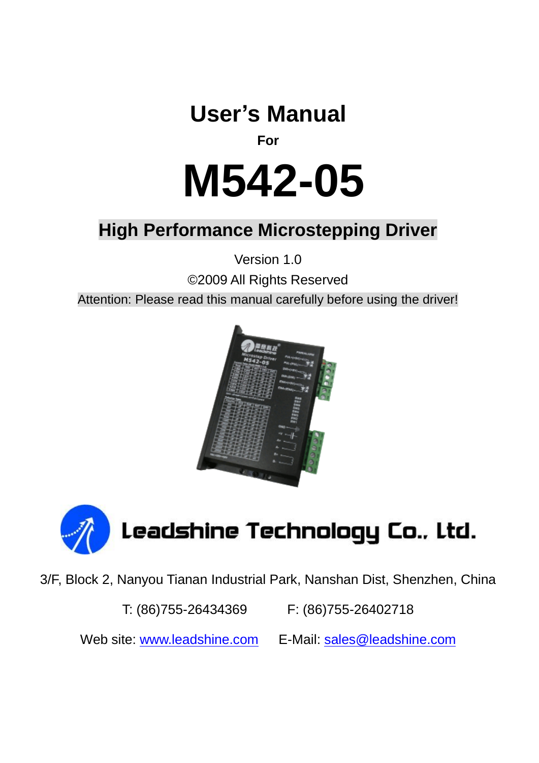# **User's Manual**

## **For**

# **M542-05**

## **High Performance Microstepping Driver**

Version 1.0

©2009 All Rights Reserved

Attention: Please read this manual carefully before using the driver!





3/F, Block 2, Nanyou Tianan Industrial Park, Nanshan Dist, Shenzhen, China

T: (86)755-26434369 F: (86)755-26402718

Web site: [www.leadshine.com](http://www.leadshine.com/) E-Mail: [sales@leadshine.com](mailto:sales@leadshine.com)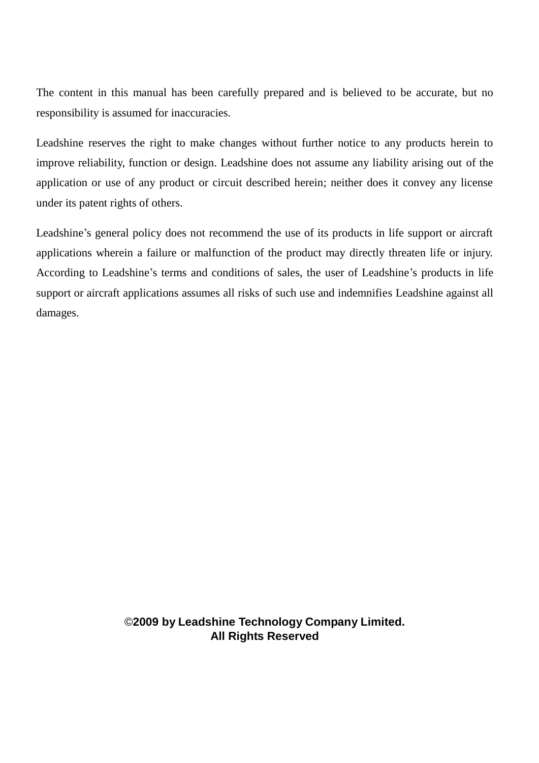The content in this manual has been carefully prepared and is believed to be accurate, but no responsibility is assumed for inaccuracies.

Leadshine reserves the right to make changes without further notice to any products herein to improve reliability, function or design. Leadshine does not assume any liability arising out of the application or use of any product or circuit described herein; neither does it convey any license under its patent rights of others.

Leadshine's general policy does not recommend the use of its products in life support or aircraft applications wherein a failure or malfunction of the product may directly threaten life or injury. According to Leadshine's terms and conditions of sales, the user of Leadshine's products in life support or aircraft applications assumes all risks of such use and indemnifies Leadshine against all damages.

> ©**2009 by Leadshine Technology Company Limited. All Rights Reserved**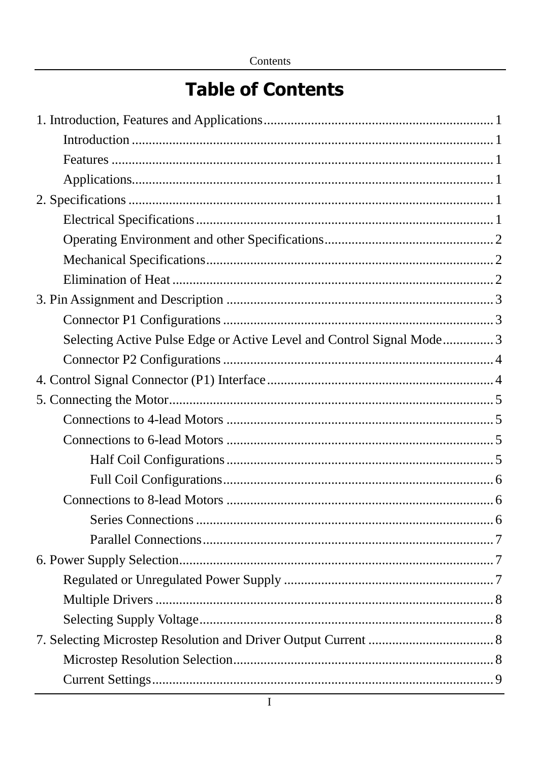# **Table of Contents**

| Selecting Active Pulse Edge or Active Level and Control Signal Mode 3 |  |
|-----------------------------------------------------------------------|--|
|                                                                       |  |
|                                                                       |  |
|                                                                       |  |
|                                                                       |  |
|                                                                       |  |
|                                                                       |  |
|                                                                       |  |
|                                                                       |  |
|                                                                       |  |
|                                                                       |  |
|                                                                       |  |
|                                                                       |  |
|                                                                       |  |
|                                                                       |  |
|                                                                       |  |
|                                                                       |  |
|                                                                       |  |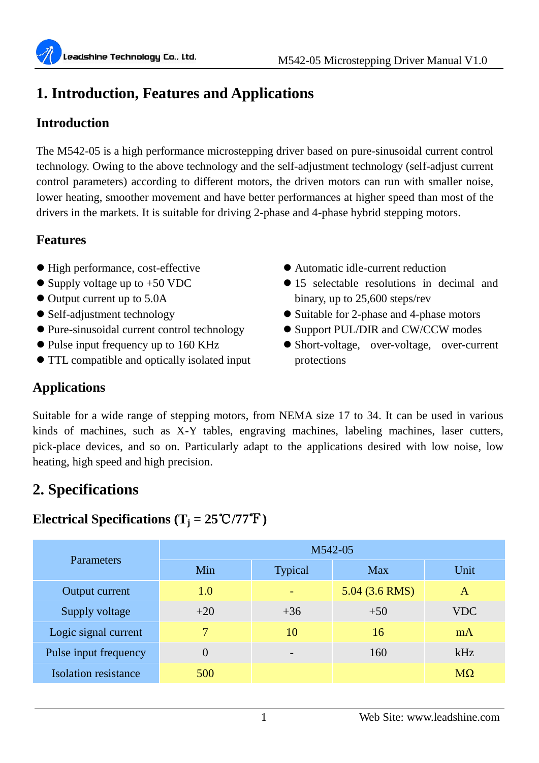## **1. Introduction, Features and Applications**

## **Introduction**

The M542-05 is a high performance microstepping driver based on pure-sinusoidal current control technology. Owing to the above technology and the self-adjustment technology (self-adjust current control parameters) according to different motors, the driven motors can run with smaller noise, lower heating, smoother movement and have better performances at higher speed than most of the drivers in the markets. It is suitable for driving 2-phase and 4-phase hybrid stepping motors.

## **Features**

- High performance, cost-effective
- Supply voltage up to +50 VDC
- $\bullet$  Output current up to 5.0A
- Self-adjustment technology
- Pure-sinusoidal current control technology
- Pulse input frequency up to 160 KHz
- TTL compatible and optically isolated input
- Automatic idle-current reduction
- 15 selectable resolutions in decimal and binary, up to 25,600 steps/rev
- Suitable for 2-phase and 4-phase motors
- Support PUL/DIR and CW/CCW modes
- Short-voltage, over-voltage, over-current protections

## **Applications**

Suitable for a wide range of stepping motors, from NEMA size 17 to 34. It can be used in various kinds of machines, such as X-Y tables, engraving machines, labeling machines, laser cutters, pick-place devices, and so on. Particularly adapt to the applications desired with low noise, low heating, high speed and high precision.

## **2. Specifications**

## **Electrical Specifications**  $(T_i = 25^{\circ}\text{C}/77^{\circ}\text{F})$

| <b>Parameters</b>     |          |                          | M542-05          |           |
|-----------------------|----------|--------------------------|------------------|-----------|
|                       | Min      | <b>Typical</b>           | Max              | Unit      |
| Output current        | 1.0      |                          | $5.04$ (3.6 RMS) | A         |
| Supply voltage        | $+20$    | $+36$                    | $+50$            | VDC.      |
| Logic signal current  | 7        | 10                       | 16               | mA        |
| Pulse input frequency | $\Omega$ | $\overline{\phantom{0}}$ | 160              | kHz       |
| Isolation resistance  | 500      |                          |                  | $M\Omega$ |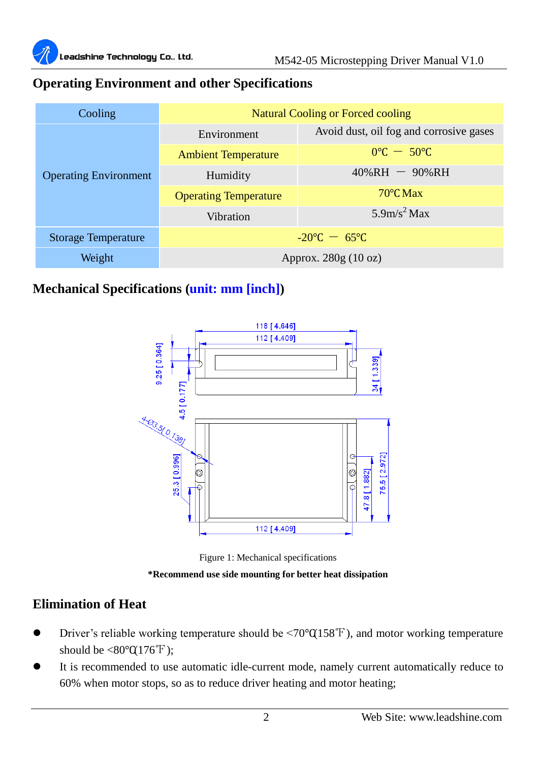

## **Operating Environment and other Specifications**

| Cooling                      |                                 | <b>Natural Cooling or Forced cooling</b> |  |
|------------------------------|---------------------------------|------------------------------------------|--|
|                              | Environment                     | Avoid dust, oil fog and corrosive gases  |  |
|                              | <b>Ambient Temperature</b>      | $0^{\circ}$ C $-50^{\circ}$ C            |  |
| <b>Operating Environment</b> | Humidity                        | $40\%RH - 90\%RH$                        |  |
|                              | <b>Operating Temperature</b>    | $70^{\circ}$ CMax                        |  |
|                              | Vibration                       | 5.9m/s <sup>2</sup> Max                  |  |
| <b>Storage Temperature</b>   | $-20^{\circ}$ C $-65^{\circ}$ C |                                          |  |
| Weight                       | Approx. $280g(10 \text{ oz})$   |                                          |  |

## **Mechanical Specifications (unit: mm [inch])**



Figure 1: Mechanical specifications **\*Recommend use side mounting for better heat dissipation**

## **Elimination of Heat**

- Driver's reliable working temperature should be <70℃(158℉), and motor working temperature should be  $\langle 80^\circ \text{C} 176^\circ \text{F} \rangle$ :
- It is recommended to use automatic idle-current mode, namely current automatically reduce to 60% when motor stops, so as to reduce driver heating and motor heating;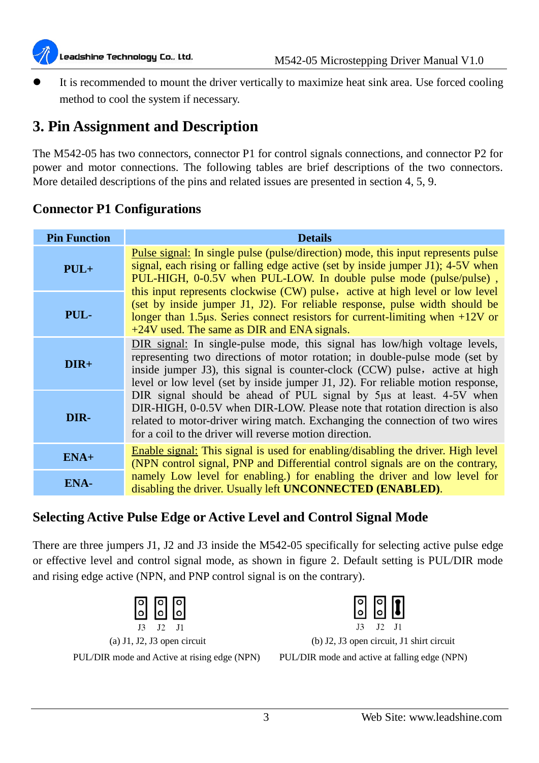

 It is recommended to mount the driver vertically to maximize heat sink area. Use forced cooling method to cool the system if necessary.

## **3. Pin Assignment and Description**

The M542-05 has two connectors, connector P1 for control signals connections, and connector P2 for power and motor connections. The following tables are brief descriptions of the two connectors. More detailed descriptions of the pins and related issues are presented in section 4, 5, 9.

| <b>Pin Function</b> | <b>Details</b>                                                                                                                                                                                                                                                                                                                      |
|---------------------|-------------------------------------------------------------------------------------------------------------------------------------------------------------------------------------------------------------------------------------------------------------------------------------------------------------------------------------|
| $PUL+$              | Pulse signal: In single pulse (pulse/direction) mode, this input represents pulse<br>signal, each rising or falling edge active (set by inside jumper J1); 4-5V when<br>PUL-HIGH, 0-0.5V when PUL-LOW. In double pulse mode (pulse/pulse),                                                                                          |
| PUL-                | this input represents clockwise (CW) pulse, active at high level or low level<br>(set by inside jumper J1, J2). For reliable response, pulse width should be<br>longer than 1.5 $\mu$ s. Series connect resistors for current-limiting when +12V or<br>$+24V$ used. The same as DIR and ENA signals.                                |
| $DIR+$              | DIR signal: In single-pulse mode, this signal has low/high voltage levels,<br>representing two directions of motor rotation; in double-pulse mode (set by<br>inside jumper J3), this signal is counter-clock (CCW) pulse, active at high<br>level or low level (set by inside jumper $J_1$ , $J_2$ ). For reliable motion response, |
| DIR-                | DIR signal should be ahead of PUL signal by 5µs at least. 4-5V when<br>DIR-HIGH, 0-0.5V when DIR-LOW. Please note that rotation direction is also<br>related to motor-driver wiring match. Exchanging the connection of two wires<br>for a coil to the driver will reverse motion direction.                                        |
| $ENA+$              | Enable signal: This signal is used for enabling/disabling the driver. High level<br>(NPN control signal, PNP and Differential control signals are on the contrary,                                                                                                                                                                  |
| ENA-                | namely Low level for enabling.) for enabling the driver and low level for<br>disabling the driver. Usually left <b>UNCONNECTED</b> ( <b>ENABLED</b> ).                                                                                                                                                                              |

#### **Connector P1 Configurations**

## **Selecting Active Pulse Edge or Active Level and Control Signal Mode**

There are three jumpers J1, J2 and J3 inside the M542-05 specifically for selecting active pulse edge or effective level and control signal mode, as shown in figure 2. Default setting is PUL/DIR mode and rising edge active (NPN, and PNP control signal is on the contrary).

|  |  | a) J1, J2, J3 open circuit |
|--|--|----------------------------|
|  |  |                            |

PUL/DIR mode and Active at rising edge (NPN) PUL/DIR mode and active at falling edge (NPN)



(b) J2, J3 open circuit, J1 shirt circuit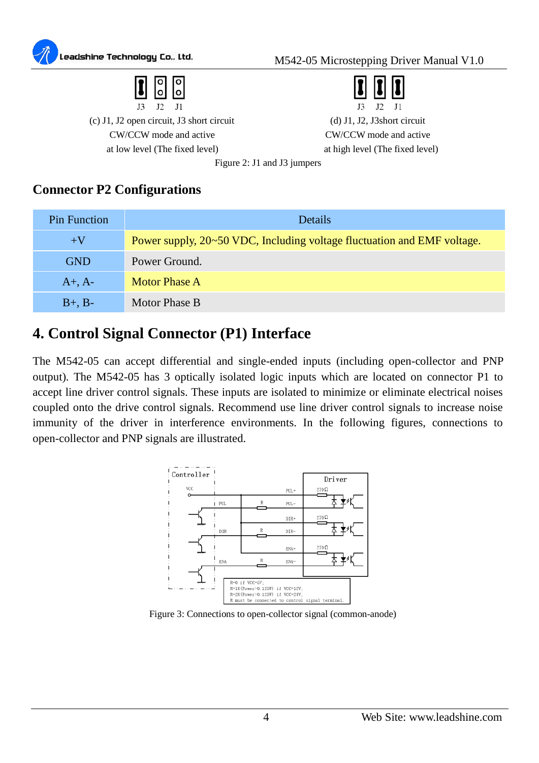



(c) J1, J2 open circuit, J3 short circuit (d) J1, J2, J3short circuit CW/CCW mode and active CW/CCW mode and active at low level (The fixed level) at high level (The fixed level)

 $J2$  $J<sub>3</sub>$  $J1$ 

Figure 2: J1 and J3 jumpers

#### **Connector P2 Configurations**

| Pin Function | <b>Details</b>                                                          |
|--------------|-------------------------------------------------------------------------|
| $+V$         | Power supply, 20~50 VDC, Including voltage fluctuation and EMF voltage. |
| <b>GND</b>   | Power Ground.                                                           |
| $A+$ , $A-$  | Motor Phase A                                                           |
| $B+$ , $B-$  | Motor Phase B                                                           |

## **4. Control Signal Connector (P1) Interface**

The M542-05 can accept differential and single-ended inputs (including open-collector and PNP output). The M542-05 has 3 optically isolated logic inputs which are located on connector P1 to accept line driver control signals. These inputs are isolated to minimize or eliminate electrical noises coupled onto the drive control signals. Recommend use line driver control signals to increase noise immunity of the driver in interference environments. In the following figures, connections to open-collector and PNP signals are illustrated.



Figure 3: Connections to open-collector signal (common-anode)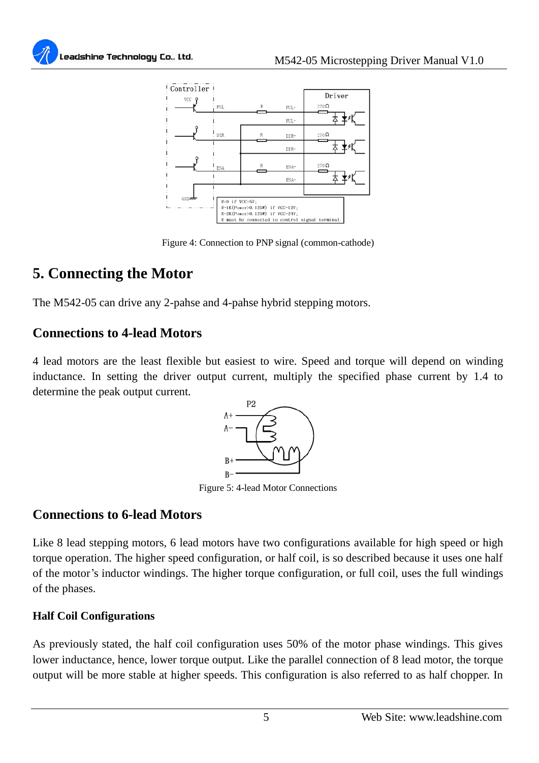



Figure 4: Connection to PNP signal (common-cathode)

## **5. Connecting the Motor**

The M542-05 can drive any 2-pahse and 4-pahse hybrid stepping motors.

## **Connections to 4-lead Motors**

4 lead motors are the least flexible but easiest to wire. Speed and torque will depend on winding inductance. In setting the driver output current, multiply the specified phase current by 1.4 to determine the peak output current.



Figure 5: 4-lead Motor Connections

## **Connections to 6-lead Motors**

Like 8 lead stepping motors, 6 lead motors have two configurations available for high speed or high torque operation. The higher speed configuration, or half coil, is so described because it uses one half of the motor's inductor windings. The higher torque configuration, or full coil, uses the full windings of the phases.

#### **Half Coil Configurations**

As previously stated, the half coil configuration uses 50% of the motor phase windings. This gives lower inductance, hence, lower torque output. Like the parallel connection of 8 lead motor, the torque output will be more stable at higher speeds. This configuration is also referred to as half chopper. In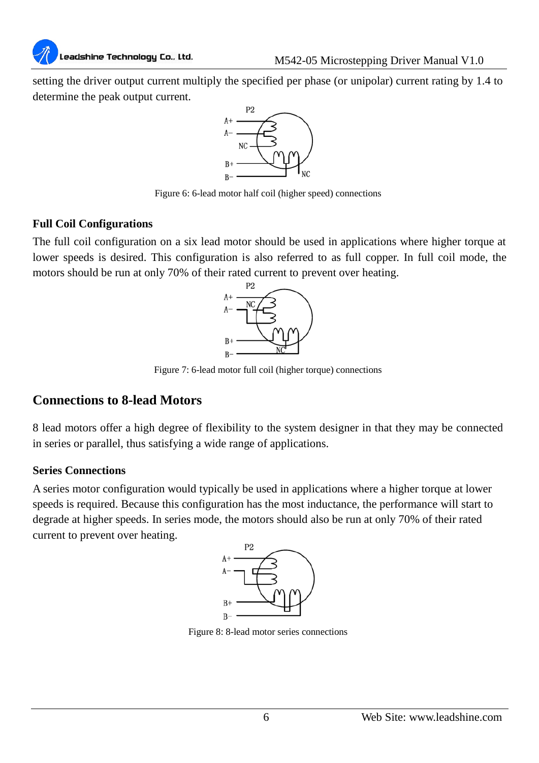# Leadshine Technology Co., Ltd.

setting the driver output current multiply the specified per phase (or unipolar) current rating by 1.4 to determine the peak output current.



Figure 6: 6-lead motor half coil (higher speed) connections

#### **Full Coil Configurations**

The full coil configuration on a six lead motor should be used in applications where higher torque at lower speeds is desired. This configuration is also referred to as full copper. In full coil mode, the motors should be run at only 70% of their rated current to prevent over heating.



Figure 7: 6-lead motor full coil (higher torque) connections

## **Connections to 8-lead Motors**

8 lead motors offer a high degree of flexibility to the system designer in that they may be connected in series or parallel, thus satisfying a wide range of applications.

#### **Series Connections**

A series motor configuration would typically be used in applications where a higher torque at lower speeds is required. Because this configuration has the most inductance, the performance will start to degrade at higher speeds. In series mode, the motors should also be run at only 70% of their rated current to prevent over heating.



Figure 8: 8-lead motor series connections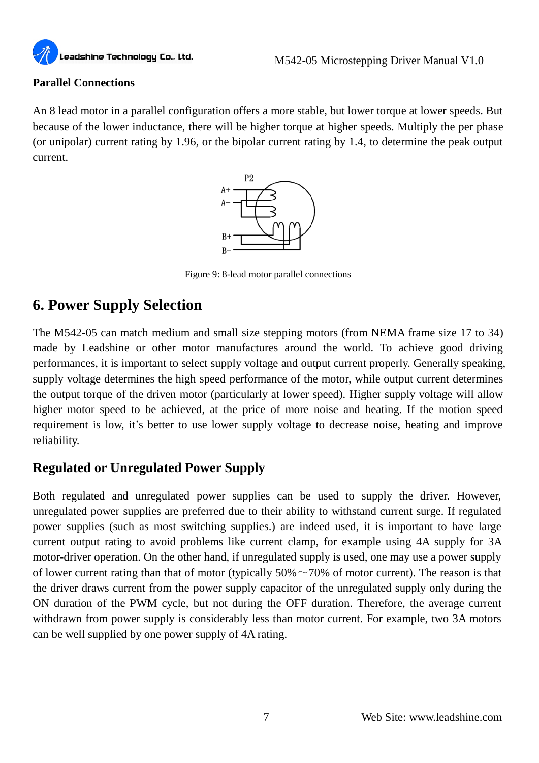

#### **Parallel Connections**

An 8 lead motor in a parallel configuration offers a more stable, but lower torque at lower speeds. But because of the lower inductance, there will be higher torque at higher speeds. Multiply the per phase (or unipolar) current rating by 1.96, or the bipolar current rating by 1.4, to determine the peak output current.



Figure 9: 8-lead motor parallel connections

## **6. Power Supply Selection**

The M542-05 can match medium and small size stepping motors (from NEMA frame size 17 to 34) made by Leadshine or other motor manufactures around the world. To achieve good driving performances, it is important to select supply voltage and output current properly. Generally speaking, supply voltage determines the high speed performance of the motor, while output current determines the output torque of the driven motor (particularly at lower speed). Higher supply voltage will allow higher motor speed to be achieved, at the price of more noise and heating. If the motion speed requirement is low, it's better to use lower supply voltage to decrease noise, heating and improve reliability.

## **Regulated or Unregulated Power Supply**

Both regulated and unregulated power supplies can be used to supply the driver. However, unregulated power supplies are preferred due to their ability to withstand current surge. If regulated power supplies (such as most switching supplies.) are indeed used, it is important to have large current output rating to avoid problems like current clamp, for example using 4A supply for 3A motor-driver operation. On the other hand, if unregulated supply is used, one may use a power supply of lower current rating than that of motor (typically  $50\% \sim 70\%$  of motor current). The reason is that the driver draws current from the power supply capacitor of the unregulated supply only during the ON duration of the PWM cycle, but not during the OFF duration. Therefore, the average current withdrawn from power supply is considerably less than motor current. For example, two 3A motors can be well supplied by one power supply of 4A rating.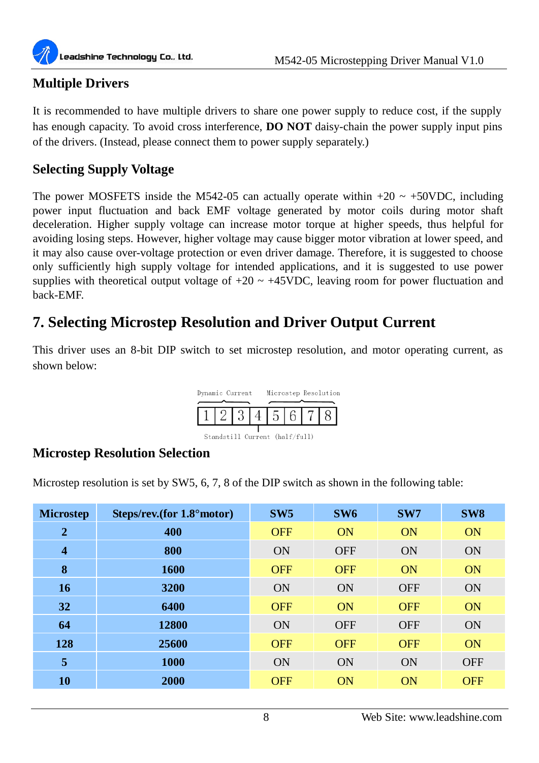

## **Multiple Drivers**

It is recommended to have multiple drivers to share one power supply to reduce cost, if the supply has enough capacity. To avoid cross interference, **DO NOT** daisy-chain the power supply input pins of the drivers. (Instead, please connect them to power supply separately.)

## **Selecting Supply Voltage**

The power MOSFETS inside the M542-05 can actually operate within  $+20 \sim +50$ VDC, including power input fluctuation and back EMF voltage generated by motor coils during motor shaft deceleration. Higher supply voltage can increase motor torque at higher speeds, thus helpful for avoiding losing steps. However, higher voltage may cause bigger motor vibration at lower speed, and it may also cause over-voltage protection or even driver damage. Therefore, it is suggested to choose only sufficiently high supply voltage for intended applications, and it is suggested to use power supplies with theoretical output voltage of  $+20 \sim +45$ VDC, leaving room for power fluctuation and back-EMF.

## **7. Selecting Microstep Resolution and Driver Output Current**

This driver uses an 8-bit DIP switch to set microstep resolution, and motor operating current, as shown below:



Standstill Current (half/full)

## **Microstep Resolution Selection**

Microstep resolution is set by SW5, 6, 7, 8 of the DIP switch as shown in the following table:

| <b>Microstep</b> | Steps/rev.(for 1.8° motor) | SW <sub>5</sub> | SW <sub>6</sub> | SW7        | SW <sub>8</sub> |
|------------------|----------------------------|-----------------|-----------------|------------|-----------------|
| $\overline{2}$   | 400                        | <b>OFF</b>      | ON              | <b>ON</b>  | <b>ON</b>       |
| $\boldsymbol{4}$ | 800                        | <b>ON</b>       | <b>OFF</b>      | ON         | <b>ON</b>       |
| 8                | 1600                       | <b>OFF</b>      | <b>OFF</b>      | ON         | ON              |
| 16               | 3200                       | <b>ON</b>       | ON              | <b>OFF</b> | <b>ON</b>       |
| 32               | 6400                       | <b>OFF</b>      | ON              | <b>OFF</b> | ON              |
| 64               | 12800                      | <b>ON</b>       | <b>OFF</b>      | <b>OFF</b> | <b>ON</b>       |
| 128              | 25600                      | <b>OFF</b>      | <b>OFF</b>      | <b>OFF</b> | <b>ON</b>       |
| 5                | <b>1000</b>                | <b>ON</b>       | <b>ON</b>       | ON         | <b>OFF</b>      |
| 10               | <b>2000</b>                | <b>OFF</b>      | <b>ON</b>       | <b>ON</b>  | <b>OFF</b>      |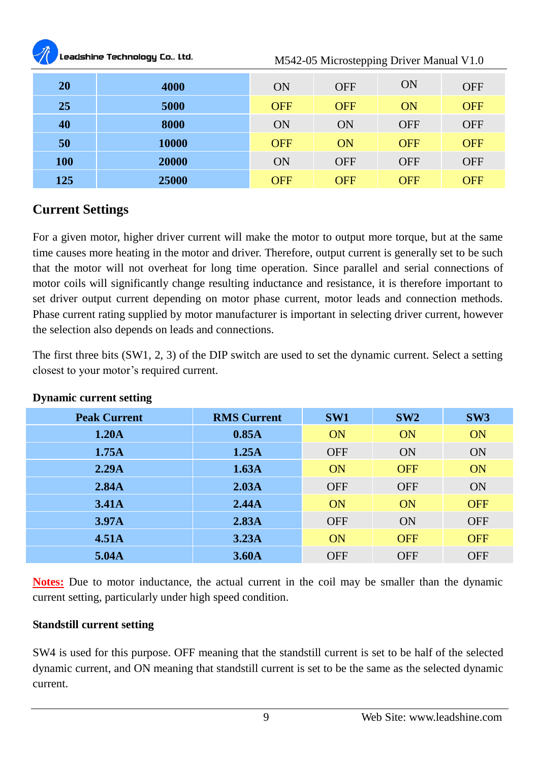| <b>All Contracts</b> | Leadshine Technology Co., Ltd. |            | M542-05 Microstepping Driver Manual V1.0 |            |            |
|----------------------|--------------------------------|------------|------------------------------------------|------------|------------|
| 20                   | 4000                           | ON         | <b>OFF</b>                               | ON         | <b>OFF</b> |
| 25                   | 5000                           | <b>OFF</b> | <b>OFF</b>                               | ON         | <b>OFF</b> |
| 40                   | 8000                           | ON         | ON                                       | <b>OFF</b> | <b>OFF</b> |
| 50                   | 10000                          | <b>OFF</b> | ON                                       | <b>OFF</b> | <b>OFF</b> |
| 100                  | 20000                          | ON         | <b>OFF</b>                               | <b>OFF</b> | <b>OFF</b> |
| 125                  | 25000                          | <b>OFF</b> | <b>OFF</b>                               | OFF        | OFF        |

## **Current Settings**

For a given motor, higher driver current will make the motor to output more torque, but at the same time causes more heating in the motor and driver. Therefore, output current is generally set to be such that the motor will not overheat for long time operation. Since parallel and serial connections of motor coils will significantly change resulting inductance and resistance, it is therefore important to set driver output current depending on motor phase current, motor leads and connection methods. Phase current rating supplied by motor manufacturer is important in selecting driver current, however the selection also depends on leads and connections.

The first three bits (SW1, 2, 3) of the DIP switch are used to set the dynamic current. Select a setting closest to your motor's required current.

| <b>Peak Current</b> | <b>RMS Current</b> | SW <sub>1</sub> | SW2        | SW3        |
|---------------------|--------------------|-----------------|------------|------------|
| 1.20A               | 0.85A              | ON              | <b>ON</b>  | <b>ON</b>  |
|                     |                    |                 |            |            |
| 1.75A               | 1.25A              | <b>OFF</b>      | <b>ON</b>  | <b>ON</b>  |
| 2.29A               | 1.63A              | ON              | <b>OFF</b> | ON         |
| 2.84A               | 2.03A              | <b>OFF</b>      | <b>OFF</b> | <b>ON</b>  |
| 3.41A               | 2.44A              | ON              | ON         | <b>OFF</b> |
| 3.97 <sub>A</sub>   | 2.83A              | <b>OFF</b>      | ON         | <b>OFF</b> |
| 4.51A               | 3.23A              | ON              | <b>OFF</b> | <b>OFF</b> |
| 5.04A               | 3.60 <sub>A</sub>  | <b>OFF</b>      | <b>OFF</b> | <b>OFF</b> |

#### **Dynamic current setting**

**Notes:** Due to motor inductance, the actual current in the coil may be smaller than the dynamic current setting, particularly under high speed condition.

#### **Standstill current setting**

SW4 is used for this purpose. OFF meaning that the standstill current is set to be half of the selected dynamic current, and ON meaning that standstill current is set to be the same as the selected dynamic current.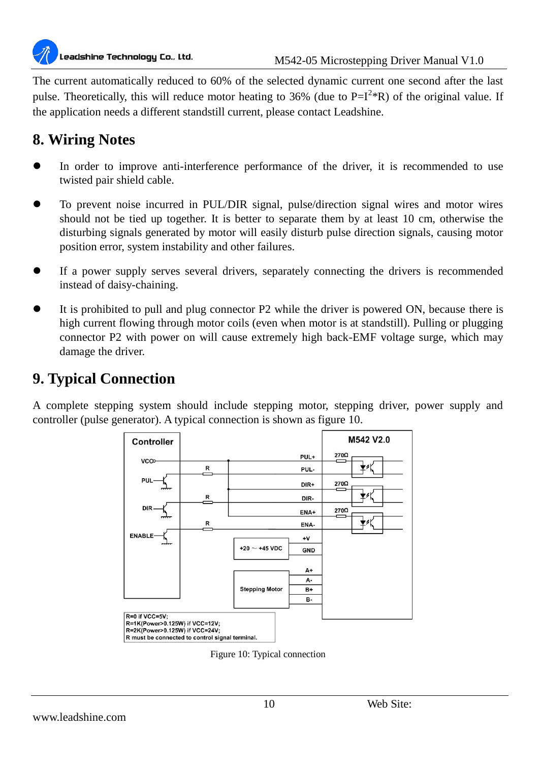

The current automatically reduced to 60% of the selected dynamic current one second after the last pulse. Theoretically, this will reduce motor heating to 36% (due to  $P=I^{2*}R$ ) of the original value. If the application needs a different standstill current, please contact Leadshine.

## **8. Wiring Notes**

- In order to improve anti-interference performance of the driver, it is recommended to use twisted pair shield cable.
- To prevent noise incurred in PUL/DIR signal, pulse/direction signal wires and motor wires should not be tied up together. It is better to separate them by at least 10 cm, otherwise the disturbing signals generated by motor will easily disturb pulse direction signals, causing motor position error, system instability and other failures.
- If a power supply serves several drivers, separately connecting the drivers is recommended instead of daisy-chaining.
- It is prohibited to pull and plug connector P2 while the driver is powered ON, because there is high current flowing through motor coils (even when motor is at standstill). Pulling or plugging connector P2 with power on will cause extremely high back-EMF voltage surge, which may damage the driver.

## **9. Typical Connection**

A complete stepping system should include stepping motor, stepping driver, power supply and controller (pulse generator). A typical connection is shown as figure 10.



Figure 10: Typical connection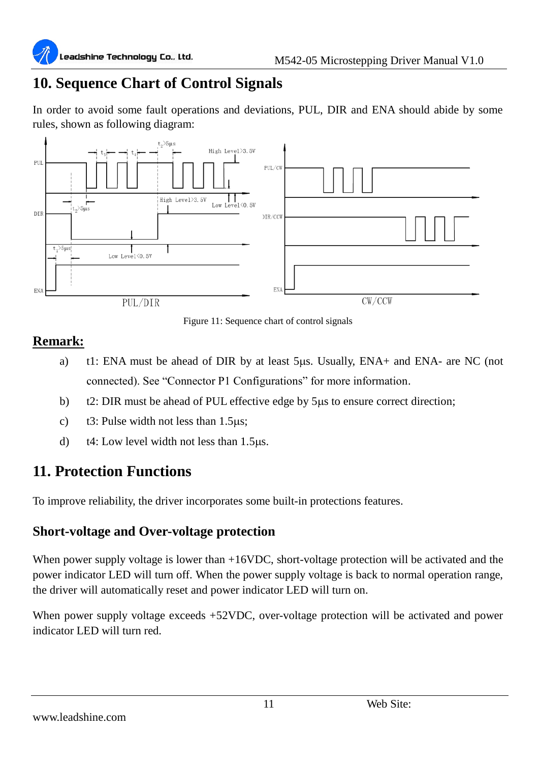## **10. Sequence Chart of Control Signals**

In order to avoid some fault operations and deviations, PUL, DIR and ENA should abide by some rules, shown as following diagram:



Figure 11: Sequence chart of control signals

## **Remark:**

- a) t1: ENA must be ahead of DIR by at least  $5\mu$ s. Usually, ENA+ and ENA- are NC (not connected). See "Connector P1 Configurations" for more information.
- b) t2: DIR must be ahead of PUL effective edge by 5µs to ensure correct direction;
- c)  $t3$ : Pulse width not less than 1.5 us;
- d)  $t_4$ : Low level width not less than 1.5 $\mu$ s.

## **11. Protection Functions**

To improve reliability, the driver incorporates some built-in protections features.

## **Short-voltage and Over-voltage protection**

When power supply voltage is lower than +16VDC, short-voltage protection will be activated and the power indicator LED will turn off. When the power supply voltage is back to normal operation range, the driver will automatically reset and power indicator LED will turn on.

When power supply voltage exceeds +52VDC, over-voltage protection will be activated and power indicator LED will turn red.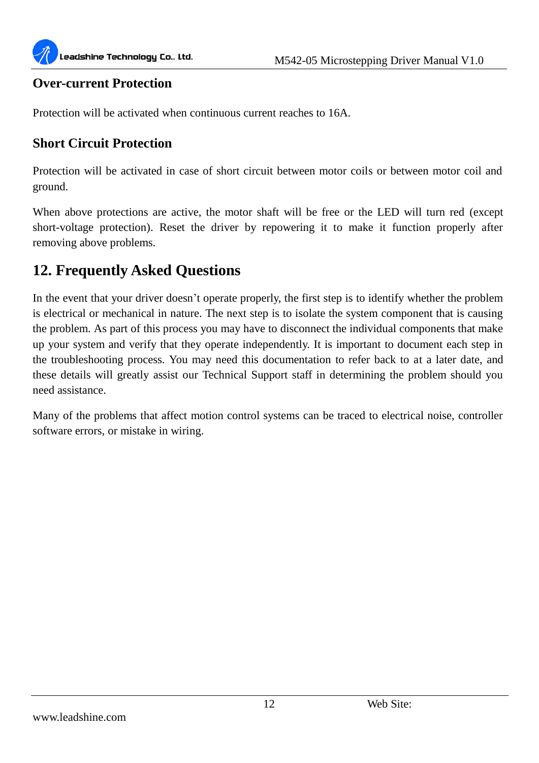

#### **Over-current Protection**

Protection will be activated when continuous current reaches to 16A.

#### **Short Circuit Protection**

Protection will be activated in case of short circuit between motor coils or between motor coil and ground.

When above protections are active, the motor shaft will be free or the LED will turn red (except short-voltage protection). Reset the driver by repowering it to make it function properly after removing above problems.

## **12. Frequently Asked Questions**

In the event that your driver doesn't operate properly, the first step is to identify whether the problem is electrical or mechanical in nature. The next step is to isolate the system component that is causing the problem. As part of this process you may have to disconnect the individual components that make up your system and verify that they operate independently. It is important to document each step in the troubleshooting process. You may need this documentation to refer back to at a later date, and these details will greatly assist our Technical Support staff in determining the problem should you need assistance.

Many of the problems that affect motion control systems can be traced to electrical noise, controller software errors, or mistake in wiring.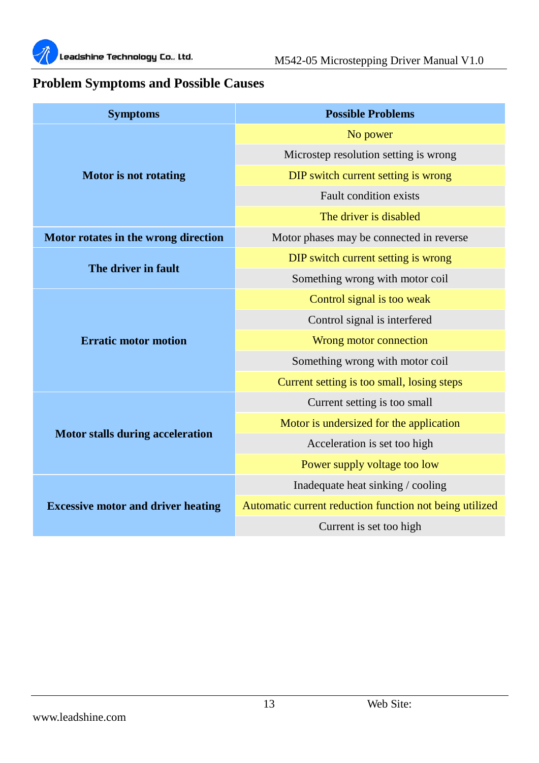

## **Problem Symptoms and Possible Causes**

| <b>Symptoms</b>                           | <b>Possible Problems</b>                                |
|-------------------------------------------|---------------------------------------------------------|
|                                           | No power                                                |
| Motor is not rotating                     | Microstep resolution setting is wrong                   |
|                                           | DIP switch current setting is wrong                     |
|                                           | Fault condition exists                                  |
|                                           | The driver is disabled                                  |
| Motor rotates in the wrong direction      | Motor phases may be connected in reverse.               |
|                                           | DIP switch current setting is wrong                     |
| The driver in fault                       | Something wrong with motor coil                         |
|                                           | Control signal is too weak                              |
|                                           | Control signal is interfered                            |
| <b>Erratic motor motion</b>               | Wrong motor connection                                  |
|                                           | Something wrong with motor coil                         |
|                                           | Current setting is too small, losing steps              |
|                                           | Current setting is too small                            |
|                                           | Motor is undersized for the application                 |
| <b>Motor stalls during acceleration</b>   | Acceleration is set too high                            |
|                                           | Power supply voltage too low                            |
| <b>Excessive motor and driver heating</b> | Inadequate heat sinking / cooling                       |
|                                           | Automatic current reduction function not being utilized |
|                                           | Current is set too high                                 |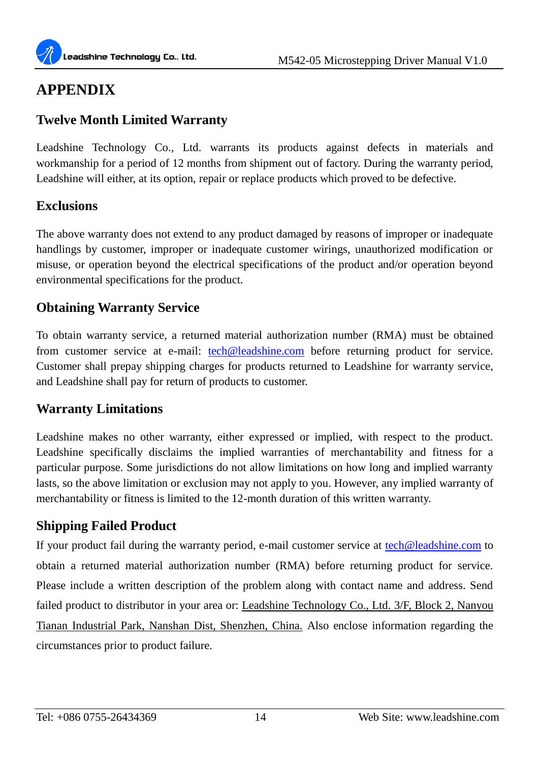## **APPENDIX**

## **Twelve Month Limited Warranty**

Leadshine Technology Co., Ltd. warrants its products against defects in materials and workmanship for a period of 12 months from shipment out of factory. During the warranty period, Leadshine will either, at its option, repair or replace products which proved to be defective.

## **Exclusions**

The above warranty does not extend to any product damaged by reasons of improper or inadequate handlings by customer, improper or inadequate customer wirings, unauthorized modification or misuse, or operation beyond the electrical specifications of the product and/or operation beyond environmental specifications for the product.

## **Obtaining Warranty Service**

To obtain warranty service, a returned material authorization number (RMA) must be obtained from customer service at e-mail: **[tech@leadshine.com](mailto:tech@leadshine.com)** before returning product for service. Customer shall prepay shipping charges for products returned to Leadshine for warranty service, and Leadshine shall pay for return of products to customer.

## **Warranty Limitations**

Leadshine makes no other warranty, either expressed or implied, with respect to the product. Leadshine specifically disclaims the implied warranties of merchantability and fitness for a particular purpose. Some jurisdictions do not allow limitations on how long and implied warranty lasts, so the above limitation or exclusion may not apply to you. However, any implied warranty of merchantability or fitness is limited to the 12-month duration of this written warranty.

## **Shipping Failed Product**

If your product fail during the warranty period, e-mail customer service at [tech@leadshine.com](mailto:tech@leisai.com) to obtain a returned material authorization number (RMA) before returning product for service. Please include a written description of the problem along with contact name and address. Send failed product to distributor in your area or: Leadshine Technology Co., Ltd. 3/F, Block 2, Nanyou Tianan Industrial Park, Nanshan Dist, Shenzhen, China. Also enclose information regarding the circumstances prior to product failure.